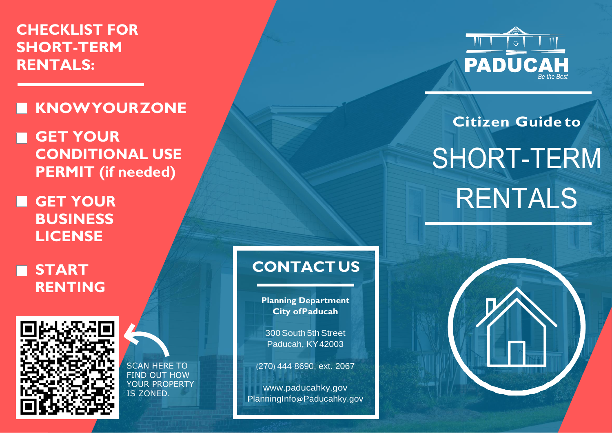**CHECKLIST FOR SHORT-TERM RENTALS:**

## **KNOWYOURZONE**

**GET YOUR CONDITIONAL USE PERMIT (if needed)**

**GET YOUR BUSINESS LICENSE**

**START RENTING**



SCAN HERE TO FIND OUT HOW YOUR PROPERTY IS ZONED.

## **CONTACT US**

**Planning Department City ofPaducah**

300 South 5th Street Paducah, KY42003

(270) 444-8690, ext. 2067

[www.paducahky.gov](http://www.paducahky.gov/) PlanningInfo@[Paducahky.gov](mailto:PlanningInfo@Paducahky.gov)



## **Citizen Guide to** SHORT-TERM RENTALS